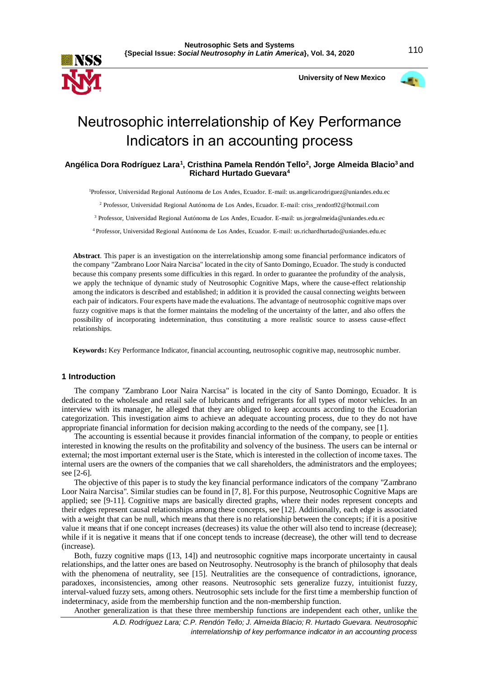

 **University of New Mexico**



# Neutrosophic interrelationship of Key Performance Indicators in an accounting process

# **Angélica Dora Rodríguez Lara<sup>1</sup> , Cristhina Pamela Rendón Tello<sup>2</sup> , Jorge Almeida Blacio<sup>3</sup>and Richard Hurtado Guevara<sup>4</sup>**

<sup>1</sup>Professor, Universidad Regional Autónoma de Los Andes, Ecuador. E-mail: us.angelicarodriguez@uniandes.edu.ec

<sup>2</sup> Professor, Universidad Regional Autónoma de Los Andes, Ecuador. E-mail: criss\_rendon92@hotmail.com

<sup>3</sup> Professor, Universidad Regional Autónoma de Los Andes, Ecuador. E-mail: us.jorgealmeida@uniandes.edu.ec

<sup>4</sup>Professor, Universidad Regional Autónoma de Los Andes, Ecuador. E-mail: us.richardhurtado@uniandes.edu.ec

**Abstract**. This paper is an investigation on the interrelationship among some financial performance indicators of the company "Zambrano Loor Naira Narcisa" located in the city of Santo Domingo, Ecuador. The study is conducted because this company presents some difficulties in this regard. In order to guarantee the profundity of the analysis, we apply the technique of dynamic study of Neutrosophic Cognitive Maps, where the cause-effect relationship among the indicators is described and established; in addition it is provided the causal connecting weights between each pair of indicators. Four experts have made the evaluations. The advantage of neutrosophic cognitive maps over fuzzy cognitive maps is that the former maintains the modeling of the uncertainty of the latter, and also offers the possibility of incorporating indetermination, thus constituting a more realistic source to assess cause-effect relationships.

**Keywords:** Key Performance Indicator, financial accounting, neutrosophic cognitive map, neutrosophic number.

#### **1 Introduction**

The company "Zambrano Loor Naira Narcisa" is located in the city of Santo Domingo, Ecuador. It is dedicated to the wholesale and retail sale of lubricants and refrigerants for all types of motor vehicles. In an interview with its manager, he alleged that they are obliged to keep accounts according to the Ecuadorian categorization. This investigation aims to achieve an adequate accounting process, due to they do not have appropriate financial information for decision making according to the needs of the company, see [1].

The accounting is essential because it provides financial information of the company, to people or entities interested in knowing the results on the profitability and solvency of the business. The users can be internal or external; the most important external user is the State, which is interested in the collection of income taxes. The internal users are the owners of the companies that we call shareholders, the administrators and the employees; see [2-6].

The objective of this paper is to study the key financial performance indicators of the company "Zambrano Loor Naira Narcisa". Similar studies can be found in [7, 8]. For this purpose, Neutrosophic Cognitive Maps are applied; see [9-11]. Cognitive maps are basically directed graphs, where their nodes represent concepts and their edges represent causal relationships among these concepts, see [12]. Additionally, each edge is associated with a weight that can be null, which means that there is no relationship between the concepts; if it is a positive value it means that if one concept increases (decreases) its value the other will also tend to increase (decrease); while if it is negative it means that if one concept tends to increase (decrease), the other will tend to decrease (increase).

Both, fuzzy cognitive maps ([13, 14]) and neutrosophic cognitive maps incorporate uncertainty in causal relationships, and the latter ones are based on Neutrosophy. Neutrosophy is the branch of philosophy that deals with the phenomena of neutrality, see [15]. Neutralities are the consequence of contradictions, ignorance, paradoxes, inconsistencies, among other reasons. Neutrosophic sets generalize fuzzy, intuitionist fuzzy, interval-valued fuzzy sets, among others. Neutrosophic sets include for the first time a membership function of indeterminacy, aside from the membership function and the non-membership function.

Another generalization is that these three membership functions are independent each other, unlike the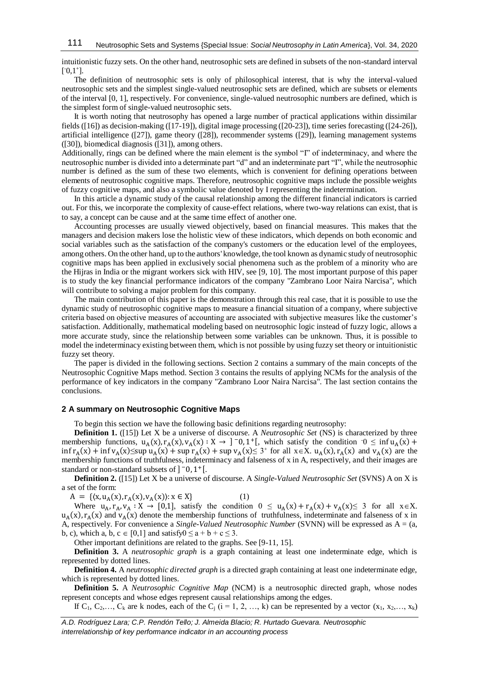intuitionistic fuzzy sets. On the other hand, neutrosophic sets are defined in subsets of the non-standard interval  $[-0,1^+]$ .

The definition of neutrosophic sets is only of philosophical interest, that is why the interval-valued neutrosophic sets and the simplest single-valued neutrosophic sets are defined, which are subsets or elements of the interval [0, 1], respectively. For convenience, single-valued neutrosophic numbers are defined, which is the simplest form of single-valued neutrosophic sets.

It is worth noting that neutrosophy has opened a large number of practical applications within dissimilar fields ([16]) as decision-making ([17-19]), digital image processing ([20-23]), time series forecasting ([24-26]), artificial intelligence ([27]), game theory ([28]), recommender systems ([29]), learning management systems ([30]), biomedical diagnosis ([31]), among others.

Additionally, rings can be defined where the main element is the symbol "I" of indeterminacy, and where the neutrosophic number is divided into a determinate part "d" and an indeterminate part "I", while the neutrosophic number is defined as the sum of these two elements, which is convenient for defining operations between elements of neutrosophic cognitive maps. Therefore, neutrosophic cognitive maps include the possible weights of fuzzy cognitive maps, and also a symbolic value denoted by I representing the indetermination.

In this article a dynamic study of the causal relationship among the different financial indicators is carried out. For this, we incorporate the complexity of cause-effect relations, where two-way relations can exist, that is to say, a concept can be cause and at the same time effect of another one.

Accounting processes are usually viewed objectively, based on financial measures. This makes that the managers and decision makers lose the holistic view of these indicators, which depends on both economic and social variables such as the satisfaction of the company's customers or the education level of the employees, among others. On the other hand, up to the authors' knowledge, the tool known as dynamic study of neutrosophic cognitive maps has been applied in exclusively social phenomena such as the problem of a minority who are the Hijras in India or the migrant workers sick with HIV, see [9, 10]. The most important purpose of this paper is to study the key financial performance indicators of the company "Zambrano Loor Naira Narcisa", which will contribute to solving a major problem for this company.

The main contribution of this paper is the demonstration through this real case, that it is possible to use the dynamic study of neutrosophic cognitive maps to measure a financial situation of a company, where subjective criteria based on objective measures of accounting are associated with subjective measures like the customer's satisfaction. Additionally, mathematical modeling based on neutrosophic logic instead of fuzzy logic, allows a more accurate study, since the relationship between some variables can be unknown. Thus, it is possible to model the indeterminacy existing between them, which is not possible by using fuzzy set theory or intuitionistic fuzzy set theory.

The paper is divided in the following sections. Section 2 contains a summary of the main concepts of the Neutrosophic Cognitive Maps method. Section 3 contains the results of applying NCMs for the analysis of the performance of key indicators in the company "Zambrano Loor Naira Narcisa". The last section contains the conclusions.

## **2 A summary on Neutrosophic Cognitive Maps**

To begin this section we have the following basic definitions regarding neutrosophy:

**Definition 1.** ([15]) Let X be a universe of discourse. A *Neutrosophic Set* (NS) is characterized by three membership functions,  $u_A(x)$ ,  $r_A(x)$ ,  $v_A(x)$ :  $X \to 0$ ,  $1^+$ , which satisfy the condition  $0 \le \inf u_A(x) +$  $\inf r_A(x) + \inf v_A(x) \leq \sup u_A(x) + \sup r_A(x) + \sup v_A(x) \leq 3^+$  for all  $x \in X$ .  $u_A(x)$ ,  $r_A(x)$  and  $v_A(x)$  are the membership functions of truthfulness, indeterminacy and falseness of x in A, respectively, and their images are standard or non-standard subsets of  $]$   $\bar{0}$ ,  $1$ <sup>+</sup>[.

**Definition 2.** ([15]) Let X be a universe of discourse. A *Single-Valued Neutrosophic Set* (SVNS) A on X is a set of the form:

 $A = \{(x, u_A(x), r_A(x), v_A(x)) : x \in X\}$  (1)

Where  $u_A$ ,  $r_A$ ,  $v_A : X \to [0,1]$ , satisfy the condition  $0 \le u_A(x) + r_A(x) + v_A(x) \le 3$  for all  $x \in X$ .  $u_A(x)$ ,  $r_A(x)$  and  $v_A(x)$  denote the membership functions of truthfulness, indeterminate and falseness of x in A, respectively. For convenience a *Single-Valued Neutrosophic Number* (SVNN) will be expressed as A = (a, b, c), which a, b,  $c \in [0,1]$  and satisfy $0 \le a + b + c \le 3$ .

Other important definitions are related to the graphs. See [9-11, 15].

**Definition 3.** A *neutrosophic graph* is a graph containing at least one indeterminate edge, which is represented by dotted lines.

**Definition 4.** A *neutrosophic directed graph* is a directed graph containing at least one indeterminate edge, which is represented by dotted lines.

**Definition 5.** A *Neutrosophic Cognitive Map* (NCM) is a neutrosophic directed graph, whose nodes represent concepts and whose edges represent causal relationships among the edges.

If  $C_1, C_2, \ldots, C_k$  are k nodes, each of the  $C_i$  (i = 1, 2, …, k) can be represented by a vector  $(x_1, x_2, \ldots, x_k)$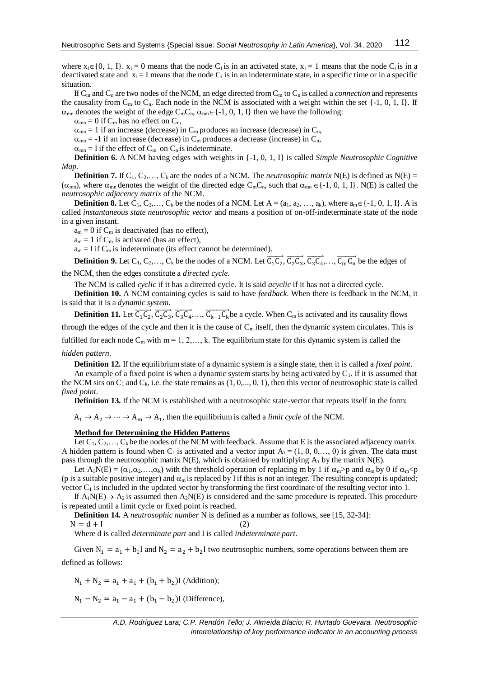where  $x_i \in \{0, 1, I\}$ .  $x_i = 0$  means that the node C<sub>i</sub> is in an activated state,  $x_i = 1$  means that the node C<sub>i</sub> is in a deactivated state and  $x_i = I$  means that the node  $C_i$  is in an indeterminate state, in a specific time or in a specific situation.

If  $C_m$  and  $C_n$  are two nodes of the NCM, an edge directed from  $C_m$  to  $C_n$  is called a *connection* and represents the causality from  $C_m$  to  $C_n$ . Each node in the NCM is associated with a weight within the set  $\{-1, 0, 1, 1\}$ . If  $\alpha_{mn}$  denotes the weight of the edge  $C_mC_n$ ,  $\alpha_{mn} \in \{-1, 0, 1, I\}$  then we have the following:

 $\alpha_{mn} = 0$  if  $C_m$  has no effect on  $C_n$ ,

 $\alpha_{mn} = 1$  if an increase (decrease) in  $C_m$  produces an increase (decrease) in  $C_n$ ,

 $\alpha_{mn}$  = -1 if an increase (decrease) in C<sub>m</sub> produces a decrease (increase) in C<sub>n</sub>,

 $\alpha_{mn} = I$  if the effect of  $C_m$  on  $C_n$  is indeterminate.

**Definition 6.** A NCM having edges with weights in {-1, 0, 1, I} is called *Simple Neutrosophic Cognitive Map*.

**Definition 7.** If  $C_1, C_2, \ldots, C_k$  are the nodes of a NCM. The *neutrosophic matrix* N(E) is defined as N(E) =  $(\alpha_{mn})$ , where  $\alpha_{mn}$  denotes the weight of the directed edge C<sub>m</sub>C<sub>n</sub>, such that  $\alpha_{mn} \in \{-1, 0, 1, 1\}$ . N(E) is called the *neutrosophic adjacency matrix* of the NCM.

**Definition 8.** Let  $C_1, C_2,..., C_k$  be the nodes of a NCM. Let  $A = (a_1, a_2, ..., a_k)$ , where  $a_m \in \{-1, 0, 1, 1\}$ . A is called *instantaneous state neutrosophic vector* and means a position of on-off-indeterminate state of the node in a given instant.

 $a_m = 0$  if  $C_m$  is deactivated (has no effect),

 $a_m = 1$  if  $C_m$  is activated (has an effect),

 $a_m = I$  if  $C_m$  is indeterminate (its effect cannot be determined).

**Definition 9.** Let  $C_1, C_2,..., C_k$  be the nodes of a NCM. Let  $\overline{C_1 C_2}, \overline{C_2 C_3}, \overline{C_3 C_4},..., \overline{C_m C_n}$  be the edges of

the NCM, then the edges constitute a *directed cycle*.

The NCM is called *cyclic* if it has a directed cycle. It is said *acyclic* if it has not a directed cycle.

**Definition 10.** A NCM containing cycles is said to have *feedback*. When there is feedback in the NCM, it is said that it is a *dynamic system*.

**Definition 11.** Let  $\overline{C_1C_2}$ ,  $\overline{C_2C_3}$ ,  $\overline{C_3C_4}$ ,  $\ldots$ ,  $\overline{C_{k-1}C_k}$  be a cycle. When  $C_m$  is activated and its causality flows through the edges of the cycle and then it is the cause of  $C_m$  itself, then the dynamic system circulates. This is fulfilled for each node  $C_m$  with  $m = 1, 2, \dots, k$ . The equilibrium state for this dynamic system is called the

#### *hidden pattern*.

**Definition 12.** If the equilibrium state of a dynamic system is a single state, then it is called a *fixed point*. An example of a fixed point is when a dynamic system starts by being activated by  $C_1$ . If it is assumed that

the NCM sits on  $C_1$  and  $C_k$ , i.e. the state remains as  $(1, 0, \ldots, 0, 1)$ , then this vector of neutrosophic state is called *fixed point*.

**Definition 13.** If the NCM is established with a neutrosophic state-vector that repeats itself in the form:

 $A_1 \rightarrow A_2 \rightarrow \cdots \rightarrow A_m \rightarrow A_1$ , then the equilibrium is called a *limit cycle* of the NCM.

## **Method for Determining the Hidden Patterns**

Let  $C_1, C_2, \ldots, C_k$  be the nodes of the NCM with feedback. Assume that E is the associated adjacency matrix. A hidden pattern is found when  $C_1$  is activated and a vector input  $A_1 = (1, 0, 0, \dots, 0)$  is given. The data must pass through the neutrosophic matrix  $N(E)$ , which is obtained by multiplying  $A_1$  by the matrix  $N(E)$ .

Let  $A_1N(E) = (\alpha_1, \alpha_2, \ldots, \alpha_k)$  with the threshold operation of replacing m by 1 if  $\alpha_m$ >p and  $\alpha_m$  by 0 if  $\alpha_m$ <p (p is a suitable positive integer) and  $\alpha_m$  is replaced by I if this is not an integer. The resulting concept is updated; vector  $C_1$  is included in the updated vector by transforming the first coordinate of the resulting vector into 1.

If  $A_1N(E) \rightarrow A_2$  is assumed then  $A_2N(E)$  is considered and the same procedure is repeated. This procedure is repeated until a limit cycle or fixed point is reached.

**Definition 14.** A *neutrosophic number* N is defined as a number as follows, see [15, 32-34]:

 $N = d + I$  (2)

Where d is called *determinate part* and I is called *indeterminate part*.

Given  $N_1 = a_1 + b_1 I$  and  $N_2 = a_2 + b_2 I$  two neutrosophic numbers, some operations between them are defined as follows:

 $N_1 + N_2 = a_1 + a_1 + (b_1 + b_2)$ I (Addition);

 $N_1 - N_2 = a_1 - a_1 + (b_1 - b_2)$ I (Difference),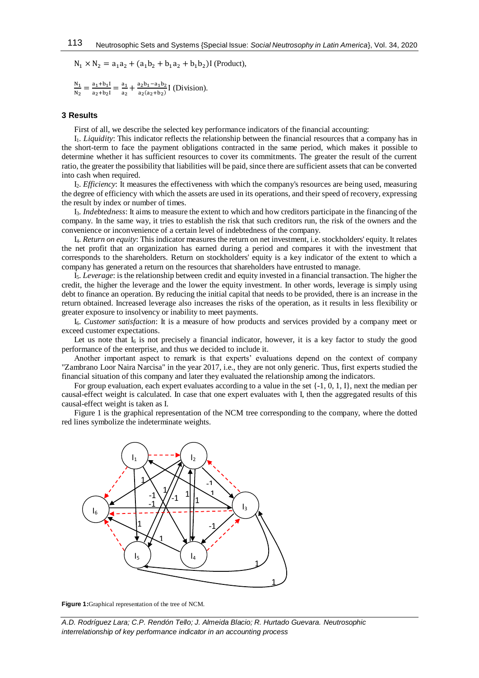$N_1 \times N_2 = a_1 a_2 + (a_1 b_2 + b_1 a_2 + b_1 b_2) I$  (Product),

$$
\frac{N_1}{N_2} = \frac{a_1 + b_1 I}{a_2 + b_2 I} = \frac{a_1}{a_2} + \frac{a_2 b_1 - a_1 b_2}{a_2 (a_2 + b_2)} I
$$
 (Division).

## **3 Results**

First of all, we describe the selected key performance indicators of the financial accounting:

I1. *Liquidity*: This indicator reflects the relationship between the financial resources that a company has in the short-term to face the payment obligations contracted in the same period, which makes it possible to determine whether it has sufficient resources to cover its commitments. The greater the result of the current ratio, the greater the possibility that liabilities will be paid, since there are sufficient assets that can be converted into cash when required.

I2. *Efficiency*: It measures the effectiveness with which the company's resources are being used, measuring the degree of efficiency with which the assets are used in its operations, and their speed of recovery, expressing the result by index or number of times.

I3. *Indebtedness*: It aims to measure the extent to which and how creditors participate in the financing of the company. In the same way, it tries to establish the risk that such creditors run, the risk of the owners and the convenience or inconvenience of a certain level of indebtedness of the company.

I4. *Return on equity*: This indicator measures the return on net investment, i.e. stockholders' equity. It relates the net profit that an organization has earned during a period and compares it with the investment that corresponds to the shareholders. Return on stockholders' equity is a key indicator of the extent to which a company has generated a return on the resources that shareholders have entrusted to manage.

I5. *Leverage*: is the relationship between credit and equity invested in a financial transaction. The higher the credit, the higher the leverage and the lower the equity investment. In other words, leverage is simply using debt to finance an operation. By reducing the initial capital that needs to be provided, there is an increase in the return obtained. Increased leverage also increases the risks of the operation, as it results in less flexibility or greater exposure to insolvency or inability to meet payments.

I6. *Customer satisfaction*: It is a measure of how products and services provided by a company meet or exceed customer expectations.

Let us note that  $I_6$  is not precisely a financial indicator, however, it is a key factor to study the good performance of the enterprise, and thus we decided to include it.

Another important aspect to remark is that experts' evaluations depend on the context of company "Zambrano Loor Naira Narcisa" in the year 2017, i.e., they are not only generic. Thus, first experts studied the financial situation of this company and later they evaluated the relationship among the indicators.

For group evaluation, each expert evaluates according to a value in the set {-1, 0, 1, I}, next the median per causal-effect weight is calculated. In case that one expert evaluates with I, then the aggregated results of this causal-effect weight is taken as I.

Figure 1 is the graphical representation of the NCM tree corresponding to the company, where the dotted red lines symbolize the indeterminate weights.



**Figure 1:**Graphical representation of the tree of NCM.

*A.D. Rodríguez Lara; C.P. Rendón Tello; J. Almeida Blacio; R. Hurtado Guevara. Neutrosophic interrelationship of key performance indicator in an accounting process*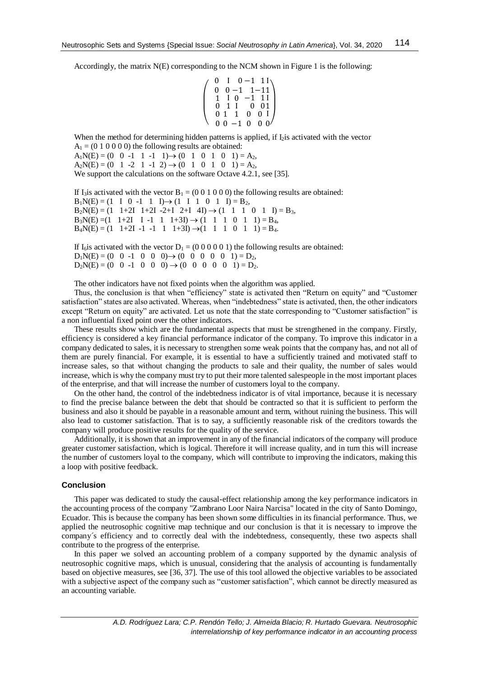Accordingly, the matrix N(E) corresponding to the NCM shown in Figure 1 is the following:

$$
\left(\begin{array}{ccccc} 0 & 1 & 0 & -1 & 11 \\ 0 & 0 & -1 & 1 & -11 \\ 1 & 1 & 0 & -1 & 11 \\ 0 & 1 & 1 & 0 & 01 \\ 0 & 1 & 1 & 0 & 01 \\ 0 & 0 & -1 & 0 & 0 & 0 \end{array}\right)
$$

When the method for determining hidden patterns is applied, if  $I_2$  is activated with the vector  $A_1 = (0 1 0 0 0 0)$  the following results are obtained:

 $A_1N(E) = (0 \ 0 \ -1 \ 1 \ -1 \ 1) \rightarrow (0 \ 1 \ 0 \ 1 \ 0 \ 1) = A_2$ ,  $A_2N(E) = (0 \t1 \t-2 \t1 \t-1 \t2) \rightarrow (0 \t1 \t0 \t1 \t0 \t1) = A_2$ , We support the calculations on the software Octave 4.2.1, see [35].

If I<sub>3</sub>is activated with the vector  $B_1 = (0\ 0\ 1\ 0\ 0\ 0)$  the following results are obtained:  $B_1N(E) = (1 \ 1 \ 0 \ -1 \ 1 \ 1) \rightarrow (1 \ 1 \ 1 \ 0 \ 1 \ 1) = B_2$ ,  $B_2N(E) = (1 \t1+2I \t1+2I \t-2+I \t2+I \t4I) \rightarrow (1 \t1 \t1 \t0 \t1 \tI) = B_3$  $B_3N(E) = (1 \t1+2I \tI -1 \t1 \t1+3I) \rightarrow (1 \t1 \t1 \t0 \t1 \t1) = B_4$  $B_4N(E) = (1 \t1+2I \t-1 \t-1 \t1 \t1+3I) \rightarrow (1 \t1 \t1 \t0 \t1 \t1) = B_4.$ 

If I<sub>6</sub>is activated with the vector  $D_1 = (0\ 0\ 0\ 0\ 0\ 1)$  the following results are obtained:  $D_1N(E) = (0 \ 0 \ -1 \ 0 \ 0 \ -9) \rightarrow (0 \ 0 \ 0 \ 0 \ 0 \ 1) = D_2$ ,  $D_2N(E) = (0 \ 0 \ -1 \ 0 \ 0 \ 0) \rightarrow (0 \ 0 \ 0 \ 0 \ 0 \ 1) = D_2.$ 

The other indicators have not fixed points when the algorithm was applied.

Thus, the conclusion is that when "efficiency" state is activated then "Return on equity" and "Customer satisfaction" states are also activated. Whereas, when "indebtedness" state is activated, then, the other indicators except "Return on equity" are activated. Let us note that the state corresponding to "Customer satisfaction" is a non influential fixed point over the other indicators.

These results show which are the fundamental aspects that must be strengthened in the company. Firstly, efficiency is considered a key financial performance indicator of the company. To improve this indicator in a company dedicated to sales, it is necessary to strengthen some weak points that the company has, and not all of them are purely financial. For example, it is essential to have a sufficiently trained and motivated staff to increase sales, so that without changing the products to sale and their quality, the number of sales would increase, which is why the company must try to put their more talented salespeople in the most important places of the enterprise, and that will increase the number of customers loyal to the company.

On the other hand, the control of the indebtedness indicator is of vital importance, because it is necessary to find the precise balance between the debt that should be contracted so that it is sufficient to perform the business and also it should be payable in a reasonable amount and term, without ruining the business. This will also lead to customer satisfaction. That is to say, a sufficiently reasonable risk of the creditors towards the company will produce positive results for the quality of the service.

Additionally, it is shown that an improvement in any of the financial indicators of the company will produce greater customer satisfaction, which is logical. Therefore it will increase quality, and in turn this will increase the number of customers loyal to the company, which will contribute to improving the indicators, making this a loop with positive feedback.

#### **Conclusion**

This paper was dedicated to study the causal-effect relationship among the key performance indicators in the accounting process of the company "Zambrano Loor Naira Narcisa" located in the city of Santo Domingo, Ecuador. This is because the company has been shown some difficulties in its financial performance. Thus, we applied the neutrosophic cognitive map technique and our conclusion is that it is necessary to improve the company´s efficiency and to correctly deal with the indebtedness, consequently, these two aspects shall contribute to the progress of the enterprise.

In this paper we solved an accounting problem of a company supported by the dynamic analysis of neutrosophic cognitive maps, which is unusual, considering that the analysis of accounting is fundamentally based on objective measures, see [36, 37]. The use of this tool allowed the objective variables to be associated with a subjective aspect of the company such as "customer satisfaction", which cannot be directly measured as an accounting variable.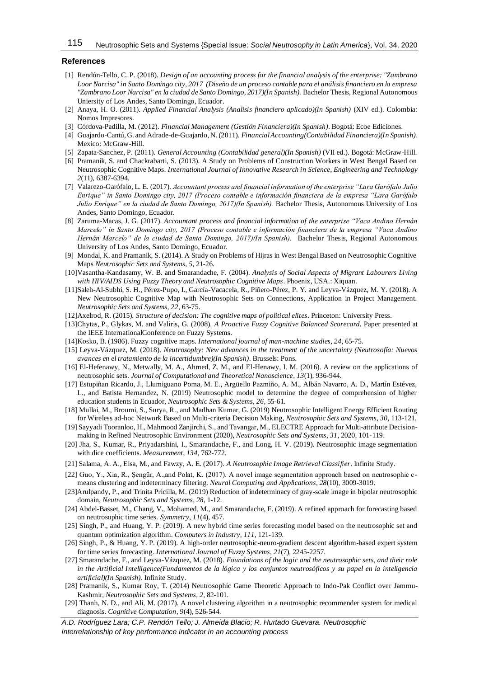#### **References**

- [1] Rendón-Tello, C. P. (2018). *Design of an accounting process for the financial analysis of the enterprise: "Zambrano Loor Narcisa" in Santo Domingo city, 2017 (Diseño de un proceso contable para el análisis financiero en la empresa "Zambrano Loor Narcisa" en la ciudad de Santo Domingo, 2017)(In Spanish).* Bachelor Thesis, Regional Autonomous Uniersity of Los Andes, Santo Domingo, Ecuador.
- [2] Anaya, H. O. (2011). *Applied Financial Analysis (Analisis financiero aplicado)(In Spanish)* (XIV ed.). Colombia: Nomos Impresores.
- [3] Córdova-Padilla, M. (2012). *Financial Management (Gestión Financiera)(In Spanish)*. Bogotá: Ecoe Ediciones.
- [4] Guajardo-Cantú, G. and Adrade-de-Guajardo, N. (2011). *Financial Accounting(Contabilidad Financiera)(In Spanish)*. Mexico: McGraw-Hill.
- [5] Zapata-Sanchez, P. (2011). *General Accounting (Contabilidad general)(In Spanish)* (VII ed.). Bogotá: McGraw-Hill.
- [6] Pramanik, S. and Chackrabarti, S. (2013). A Study on Problems of Construction Workers in West Bengal Based on Neutrosophic Cognitive Maps. *International Journal of Innovative Research in Science, Engineering and Technology 2*(11), 6387-6394.
- [7] Valarezo-Garófalo, L. E. (2017). *Accountant process and financial information of the enterprise "Lara Garófalo Julio Enrique" in Santo Domingo city, 2017 (Proceso contable e información financiera de la empresa "Lara Garófalo Julio Enrique" en la ciudad de Santo Domingo, 2017)(In Spanish).* Bachelor Thesis, Autonomous University of Los Andes, Santo Domingo, Ecuador.
- [8] Zaruma-Macas, J. G. (2017). *Accountant process and financial information of the enterprise "Vaca Andino Hernán Marcelo" in Santo Domingo city, 2017 (Proceso contable e información financiera de la empresa "Vaca Andino Hernán Marcelo" de la ciudad de Santo Domingo, 2017)(In Spanish).* Bachelor Thesis, Regional Autonomous University of Los Andes, Santo Domingo, Ecuador.
- [9] Mondal, K. and Pramanik, S. (2014). A Study on Problems of Hijras in West Bengal Based on Neutrosophic Cognitive Maps *Neutrosophic Sets and Systems, 5*, 21-26.
- [10]Vasantha-Kandasamy, W. B. and Smarandache, F. (2004). *Analysis of Social Aspects of Migrant Labourers Living with HIV/AIDS Using Fuzzy Theory and Neutrosophic Cognitive Maps*. Phoenix, USA.: Xiquan.
- [11]Saleh-Al-Subhi, S. H., Pérez-Pupo, I., García-Vacacela, R., Piñero-Pérez, P. Y. and Leyva-Vázquez, M. Y. (2018). A New Neutrosophic Cognitive Map with Neutrosophic Sets on Connections, Application in Project Management. *Neutrosophic Sets and Systems, 22*, 63-75.
- [12]Axelrod, R. (2015). *Structure of decision: The cognitive maps of political elites*. Princeton: University Press.
- [13]Chytas, P., Glykas, M. and Valiris, G. (2008). *A Proactive Fuzzy Cognitive Balanced Scorecard.* Paper presented at the IEEE InternationalConference on Fuzzy Systems.
- [14]Kosko, B. (1986). Fuzzy cognitive maps. *International journal of man-machine studies, 24*, 65-75.
- [15] Leyva-Vázquez, M. (2018). *Neutrosophy: New advances in the treatment of the uncertainty (Neutrosofía: Nuevos avances en el tratamiento de la incertidumbre)(In Spanish)*. Brussels: Pons.
- [16] El-Hefenawy, N., Metwally, M. A., Ahmed, Z. M., and El-Henawy, I. M. (2016). A review on the applications of neutrosophic sets. *Journal of Computational and Theoretical Nanoscience*, *13*(1), 936-944.
- [17] Estupiñan Ricardo, J., Llumiguano Poma, M. E., Argüello Pazmiño, A. M., Albán Navarro, A. D., Martín Estévez, L., and Batista Hernandez, N. (2019) Neutrosophic model to determine the degree of comprehension of higher education students in Ecuador, *Neutrosophic Sets & Systems, 26*, 55-61.
- [18] Mullai, M., Broumi, S., Surya, R., and Madhan Kumar, G. (2019[\) Neutrosophic Intelligent Energy Efficient Routing](http://fs.unm.edu/NSS/NeutrosophicIntelligentEnergyEfficient.pdf)  [for Wireless ad-hoc Network Based on Multi-criteria Decision Making,](http://fs.unm.edu/NSS/NeutrosophicIntelligentEnergyEfficient.pdf) *Neutrosophic Sets and Systems*, *30*, 113-121.
- [19] Sayyadi Tooranloo, H., Mahmood Zanjirchi, S., and Tavangar, M., [ELECTRE Approach for Multi-attribute Decision](http://fs.unm.edu/NSS/ELECTRERefinedNeutrosophicEnvironment.pdf)[making in Refined Neutrosophic Environment](http://fs.unm.edu/NSS/ELECTRERefinedNeutrosophicEnvironment.pdf) (2020), *Neutrosophic Sets and Systems*, *31*, 2020, 101-119.
- [20] Jha, S., Kumar, R., Priyadarshini, I., Smarandache, F., and Long, H. V. (2019). Neutrosophic image segmentation with dice coefficients. *Measurement*, *134*, 762-772.
- [21] Salama, A. A., Eisa, M., and Fawzy, A. E. (2017). *A Neutrosophic Image Retrieval Classifier*. Infinite Study.
- [22] Guo, Y., Xia, R., Şengür, A.,and Polat, K. (2017). A novel image segmentation approach based on neutrosophic cmeans clustering and indeterminacy filtering. *Neural Computing and Applications*, *28*(10), 3009-3019.
- [23]Arulpandy, P., and Trinita Pricilla, M. (2019) [Reduction of indeterminacy of gray-scale image in bipolar neutrosophic](http://fs.unm.edu/NSS/ReductionOfindeterminacyOfgray.pdf)  [domain,](http://fs.unm.edu/NSS/ReductionOfindeterminacyOfgray.pdf) *Neutrosophic Sets and Systems*, *28*, 1-12.
- [24] Abdel-Basset, M., Chang, V., Mohamed, M., and Smarandache, F. (2019). A refined approach for forecasting based on neutrosophic time series. *Symmetry*, *11*(4), 457.
- [25] Singh, P., and Huang, Y. P. (2019). A new hybrid time series forecasting model based on the neutrosophic set and quantum optimization algorithm. *Computers in Industry*, *111*, 121-139.
- [26] Singh, P., & Huang, Y. P. (2019). A high-order neutrosophic-neuro-gradient descent algorithm-based expert system for time series forecasting. *International Journal of Fuzzy Systems*, *21*(7), 2245-2257.
- [27] Smarandache, F., and Leyva-Vázquez, M. (2018). *Foundations of the logic and the neutrosophic sets, and their role in the Artificial Intelligence(Fundamentos de la lógica y los conjuntos neutrosóficos y su papel en la inteligencia artificial)(In Spanish)*. Infinite Study.
- [28] Pramanik, S., Kumar Roy, [T. \(2014\) Neutrosophic Game Theoretic Approach to Indo-Pak Conflict over Jammu-](http://fs.unm.edu/NSS/NeutrosophicGameTheoreticApproach.pdf)Kashmir, *[Neutrosophic Sets and Systems](http://fs.unm.edu/NSS/NeutrosophicGameTheoreticApproach.pdf)*, *2*, 82-101.
- [29] Thanh, N. D., and Ali, M. (2017). A novel clustering algorithm in a neutrosophic recommender system for medical diagnosis. *Cognitive Computation*, *9*(4), 526-544.

*A.D. Rodríguez Lara; C.P. Rendón Tello; J. Almeida Blacio; R. Hurtado Guevara. Neutrosophic interrelationship of key performance indicator in an accounting process*